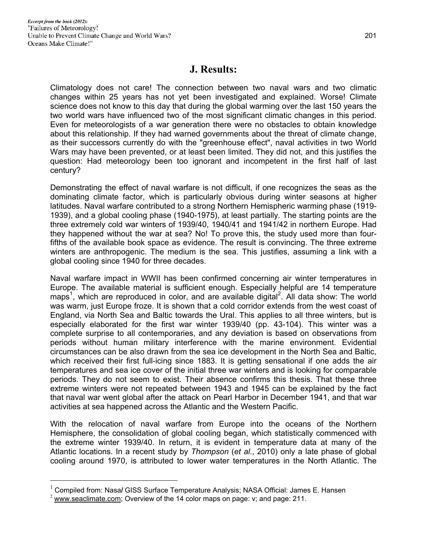## **J. Results:**

Climatology does not care! The connection between two naval wars and two climatic changes within 25 years has not yet been investigated and explained. Worse! Climate science does not know to this day that during the global warming over the last 150 years the two world wars have influenced two of the most significant climatic changes in this period. Even for meteorologists of a war generation there were no obstacles to obtain knowledge about this relationship. If they had warned governments about the threat of climate change, as their successors currently do with the "greenhouse effect", naval activities in two World Wars may have been prevented, or at least been limited. They did not, and this justifies the question: Had meteorology been too ignorant and incompetent in the first half of last century?

Demonstrating the effect of naval warfare is not difficult, if one recognizes the seas as the dominating climate factor, which is particularly obvious during winter seasons at higher latitudes. Naval warfare contributed to a strong Northern Hemispheric warming phase (1919- 1939), and a global cooling phase (1940-1975), at least partially. The starting points are the three extremely cold war winters of 1939/40, 1940/41 and 1941/42 in northern Europe. Had they happened without the war at sea? No! To prove this, the study used more than fourfifths of the available book space as evidence. The result is convincing. The three extreme winters are anthropogenic. The medium is the sea. This justifies, assuming a link with a global cooling since 1940 for three decades.

Naval warfare impact in WWII has been confirmed concerning air winter temperatures in Europe. The available material is sufficient enough. Especially helpful are 14 temperature maps<sup>1</sup>, which are reproduced in color, and are available digital<sup>2</sup>. All data show: The world was warm, just Europe froze. It is shown that a cold corridor extends from the west coast of England, via North Sea and Baltic towards the Ural. This applies to all three winters, but is especially elaborated for the first war winter 1939/40 (pp. 43-104). This winter was a complete surprise to all contemporaries, and any deviation is based on observations from periods without human military interference with the marine environment. Evidential circumstances can be also drawn from the sea ice development in the North Sea and Baltic, which received their first full-icing since 1883. It is getting sensational if one adds the air temperatures and sea ice cover of the initial three war winters and is looking for comparable periods. They do not seem to exist. Their absence confirms this thesis. That these three extreme winters were not repeated between 1943 and 1945 can be explained by the fact that naval war went global after the attack on Pearl Harbor in December 1941, and that war activities at sea happened across the Atlantic and the Western Pacific.

With the relocation of naval warfare from Europe into the oceans of the Northern Hemisphere, the consolidation of global cooling began, which statistically commenced with the extreme winter 1939/40. In return, it is evident in temperature data at many of the Atlantic locations. In a recent study by *Thompson* (*et al*., 2010) only a late phase of global cooling around 1970, is attributed to lower water temperatures in the North Atlantic. The

 $\overline{a}$ 

<sup>1</sup> Compiled from: Nasa**/** GISS Surface Temperature Analysis; NASA Official: James E. Hansen

 $2$  www.seaclimate.com; Overview of the 14 color maps on page: v; and page: 211.